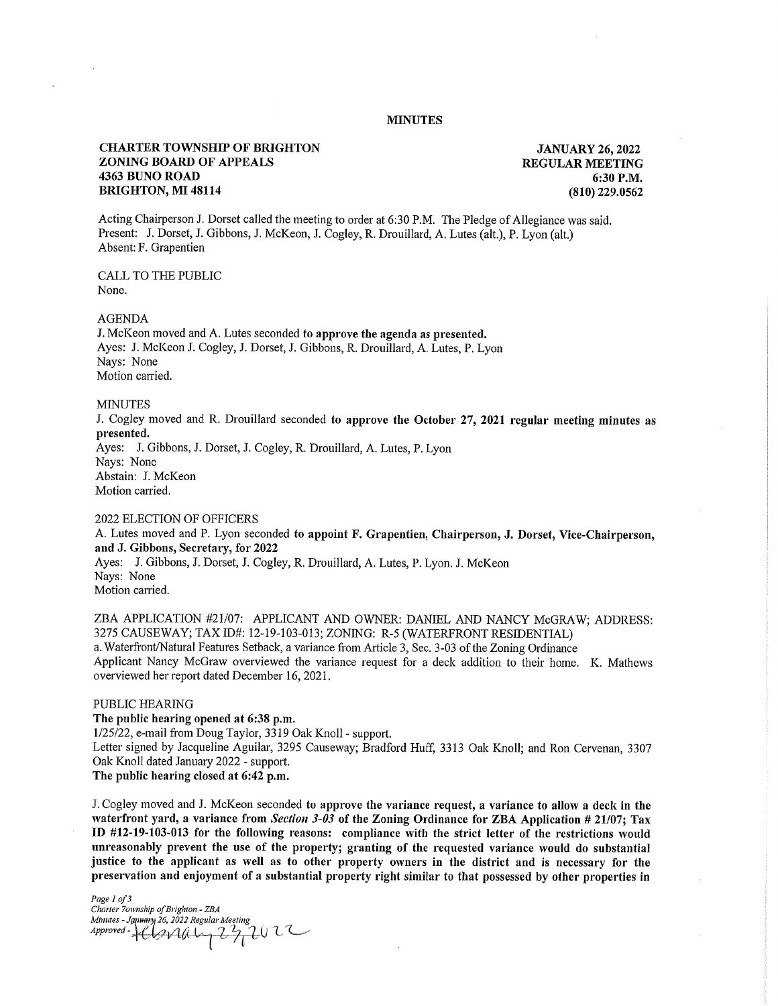## MINUTES

# CHARTER TOWNSHIP OF BRIGHTON JANUARY 26, 2022 **ZONING BOARD OF APPEALS REGULAR MEETING** 4363 BUNO ROAD 6:30 P.M. 6:30 P.M. 6:30 P.M. BRIGHTON, MI 48114

Acting Chairperson J. Dorset called the meeting to order at 6:30 P.M. The Pledge of Allegiance was said. Present: J. Dorset, J. Gibbons, J. McKeon, J. Cogley, R. Drouillard, A. Lutes (alt.), P. Lyon (alt.) Absent: F. Grapentien

CALL TO THE PUBLIC None.

AGENDA

J. McKeon moved and A. Lutes seconded to approve the agenda as presented. Ayes: J. McKeon J. Cogley, J. Dorset, J. Gibbons, R. Drouillard, A. Lutes, P. Lyon Nays: None Motion carried.

#### **MINUTES**

J. Cogley moved and R. Drouillard seconded to approve the October 27, 2021 regular meeting minutes as presented. Ayes: J. Gibbons, J. Dorset, J. Cogley, R. Drouillard, A. Lutes, P. Lyon Nays: None

Abstain: J. McKeon Motion carried.

# 2022 ELECTION OF OFFICERS

A. Lutes moved and P. Lyon seconded to appoint F. Grapentien, Chairperson, J. Dorset, Vice-Chairperson, and J. Gibbons, Secretary, for 2022 Ayes: J. Gibbons, J. Dorset, J. Cogley, R. Drouillard, A. Lutes, P. Lyon. J. McKeon Nays: None Motion carried.

ZBA APPLICATION #21/07: APPLICANT AND OWNER: DANIEL AND NANCY McGRAW; ADDRESS: 3275 CAUSEWAY; TAX ID#: 12-19-103-013; ZONING: R-5 (WATERFRONT RESIDENTIAL) a. Waterfront/Natural Features Setback, a variance from Article 3, Sec. 3-03 of the Zoning Ordinance Applicant Nancy McGraw overviewed the variance request for a deck addition to their home. K. Mathews overviewed her report dated December 16, 2021.

## PUBLIC HEARING

The public hearing opened at 6:38 p.m.

1/25/22, e-mail from Doug Taylor, 3319 Oak Knoll - support.

Letter signed by Jacqueline Aguilar, 3295 Causeway; Bradford Huff, 3313 Oak Knoll; and Ron Cervenan, 3307 Oak Knoll dated January 2022 - support.

The public hearing closed at 6:42 p.m.

J. Cogley moved and J. McKeon seconded to approve the variance request, a variance to allow a deck in the waterfront yard, a variance from *Section 3-03* of the Zoning Ordinance for ZBA Application # 21/07; Tax ID #12-19-103-013 for the following reasons: compliance with the strict letter of the restrictions would unreasonably prevent the use of the property; granting of the requested variance would do substantial justice to the applicant as well as to other property owners in the district and is necessary for the preservation and enjoyment of a substantial property right similar to that possessed by other properties in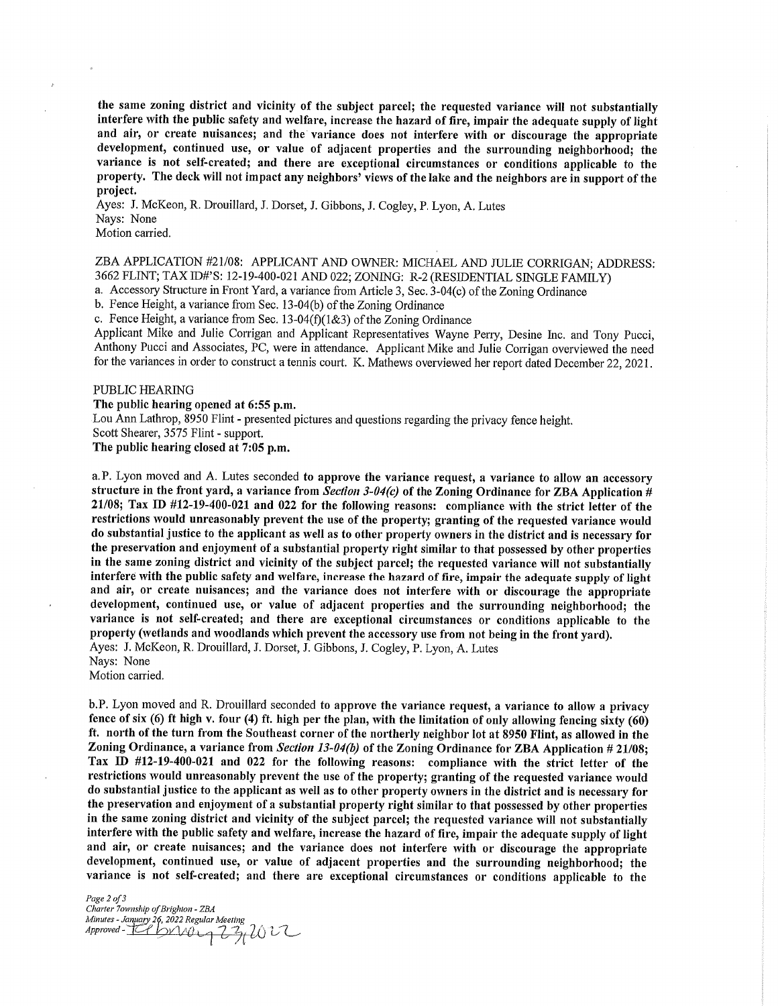the same zoning district and vicinity of the subject parcel; the requested variance will not substantially interfere with the public safety and welfare, increase the hazard of fire, impair the adequate supply of light and air, or create nuisances; and the variance does not interfere with or discourage the appropriate development, continued use, or value of adjacent properties and the surrounding neighborhood; the variance is not self-created; and there are exceptional circumstances or conditions applicable to the property. The deck will not impact any neighbors' views of the lake and the neighbors are in support of the project.

Ayes: J. McKeon, R. Drouillard, J. Dorset, J. Gibbons, J. Cogley, P. Lyon, A. Lutes Nays: None Motion carried.

ZBA APPLICATION #21/08: APPLICANT AND OWNER: MICHAEL AND JULIE CORRIGAN; ADDRESS: 3662 FLINT; TAX ID#'S: 12-19-400-021 AND 022; ZONING: R-2 (RESIDENTIAL SINGLE FAMILY)

a. Accessory Structure in Front Yard, a variance from Article 3, Sec. 3-04(c) of the Zoning Ordinance

b. Fence Height, a variance from Sec. 13-04(b) of the Zoning Ordinance

c. Fence Height, a variance from Sec. 13-04(f)(1&3) of the Zoning Ordinance

Applicant Mike and Julie Corrigan and Applicant Representatives Wayne Perry, Desine Inc. and Tony Pucci, Anthony Pucci and Associates, PC, were in attendance. Applicant Mike and Julie Corrigan overviewed the need for the variances in order to construct a tennis court. K. Mathews overviewed her report dated December 22, 2021.

### PUBLIC HEARING

The public hearing opened at 6:55 p.m.

Lou Ann Lathrop, 8950 Flint - presented pictures and questions regarding the privacy fence height.

Scott Shearer, 3575 Flint - support.

The public hearing closed at 7:05 p.m.

a.P. Lyon moved and A. Lutes seconded to approve the variance request, a variance to allow an accessory structure in the front yard, a variance from *Section 3-04(c)* of the Zoning Ordinance for ZBA Application # 21/08; Tax ID #12-19-400-021 and 022 for the following reasons: compliance with the strict letter of the restrictions would unreasonably prevent the use of the property; granting of the requested variance would do substantial justice to the applicant as well as to other property owners in the district and is necessary for the preservation and enjoyment of a substantial property right similar to that possessed by other properties in the same zoning district and vicinity of the subject parcel; the requested variance will not substantially interfere with the public safety and welfare, increase the hazard of fire, impair the adequate supply of light and air, or create nuisances; and the variance does not interfere with or discourage the appropriate development, continued use, or value of adjacent properties and the surrounding neighborhood; the variance is not self-created; and there are exceptional circumstances or conditions applicable to the property (wetlands and woodlands which prevent the accessory use from not being in the front yard). Ayes: J. McKeon, R. Drouillard, J. Dorset, J. Gibbons, J. Cogley, P. Lyon, A. Lutes

Nays: None

Motion carried.

b.P. Lyon moved and R. Drouillard seconded to approve the variance request, a variance to allow a privacy fence of six (6) ft high v. four (4) ft. high per the plan, with the limitation of only allowing fencing sixty (60) ft. north of the turn from the Southeast corner of the northerly neighbor lot at 8950 Flint, as allowed in the Zoning Ordinance, a variance from *Section 13-04(b)* of the Zoning Ordinance for ZBA Application # 21/08; Tax ID #12-19-400-021 and 022 for the following reasons: compliance with the strict letter of the restrictions would unreasonably prevent the use of the property; granting of the requested variance would do substantial justice to the applicant as well as to other property owners in the district and is necessary for the preservation and enjoyment of a substantial property right similar to that possessed by other properties in the same zoning district and vicinity of the subject parcel; the requested variance will not substantially interfere with the public safety and welfare, increase the hazard of fire, impair the adequate supply of light and air, or create nuisances; and the variance does not interfere with or discourage the appropriate development, continued use, or value of adjacent properties and the surrounding neighborhood; the variance is not self-created; and there are exceptional circumstances or conditions applicable to the